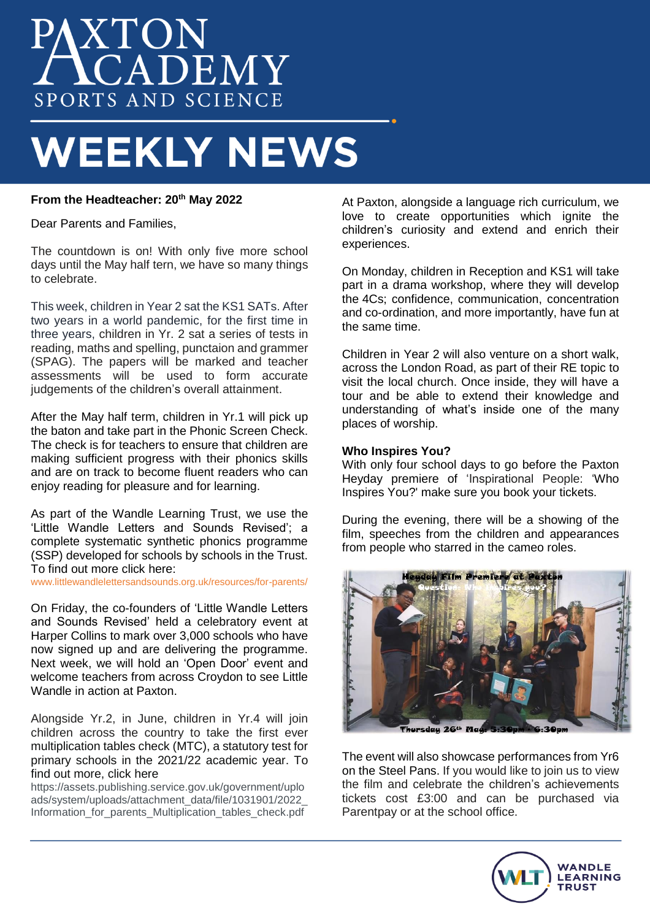# PAXTON SPORTS AND SCIENCE

# **WEEKLY NEWS**

### **From the Headteacher: 20th May 2022**

Dear Parents and Families,

The countdown is on! With only five more school days until the May half tern, we have so many things to celebrate.

This week, children in Year 2 sat the KS1 SATs. After two years in a world pandemic, for the first time in three years, children in Yr. 2 sat a series of tests in reading, maths and spelling, punctaion and grammer (SPAG). The papers will be marked and teacher assessments will be used to form accurate judgements of the children's overall attainment.

After the May half term, children in Yr.1 will pick up the baton and take part in the Phonic Screen Check. The check is for teachers to ensure that children are making sufficient progress with their phonics skills and are on track to become fluent readers who can enjoy reading for pleasure and for learning.

As part of the Wandle Learning Trust, we use the 'Little Wandle Letters and Sounds Revised'; a complete systematic synthetic phonics programme (SSP) developed for schools by schools in the Trust. To find out more click here:

www.littlewandlelettersandsounds.org.uk/resources/for-parents/

On Friday, the co-founders of 'Little Wandle Letters and Sounds Revised' held a celebratory event at Harper Collins to mark over 3,000 schools who have now signed up and are delivering the programme. Next week, we will hold an 'Open Door' event and welcome teachers from across Croydon to see Little Wandle in action at Paxton.

Alongside Yr.2, in June, children in Yr.4 will join children across the country to take the first ever multiplication tables check (MTC), a statutory test for primary schools in the 2021/22 academic year. To find out more, click here

[https://assets.publishing.service.gov.uk/government/uplo](https://assets.publishing.service.gov.uk/government/uploads/system/uploads/attachment_data/file/1031901/2022_Information_for_parents_Multiplication_tables_check.pdf) [ads/system/uploads/attachment\\_data/file/1031901/2022\\_](https://assets.publishing.service.gov.uk/government/uploads/system/uploads/attachment_data/file/1031901/2022_Information_for_parents_Multiplication_tables_check.pdf) Information for parents Multiplication tables check.pdf

At Paxton, alongside a language rich curriculum, we love to create opportunities which ignite the children's curiosity and extend and enrich their experiences.

On Monday, children in Reception and KS1 will take part in a drama workshop, where they will develop the [4Cs;](https://www.perform.org.uk/your-childs-development/the-4-cs) confidence, communication, concentration and co-ordination, and more importantly, have fun at the same time.

Children in Year 2 will also venture on a short walk, across the London Road, as part of their RE topic to visit the local church. Once inside, they will have a tour and be able to extend their knowledge and understanding of what's inside one of the many places of worship.

### **Who Inspires You?**

With only four school days to go before the Paxton Heyday premiere of 'Inspirational People: 'Who Inspires You?' make sure you book your tickets.

During the evening, there will be a showing of the film, speeches from the children and appearances from people who starred in the cameo roles.



The event will also showcase performances from Yr6 on the Steel Pans. If you would like to join us to view the film and celebrate the children's achievements tickets cost £3:00 and can be purchased via Parentpay or at the school office.